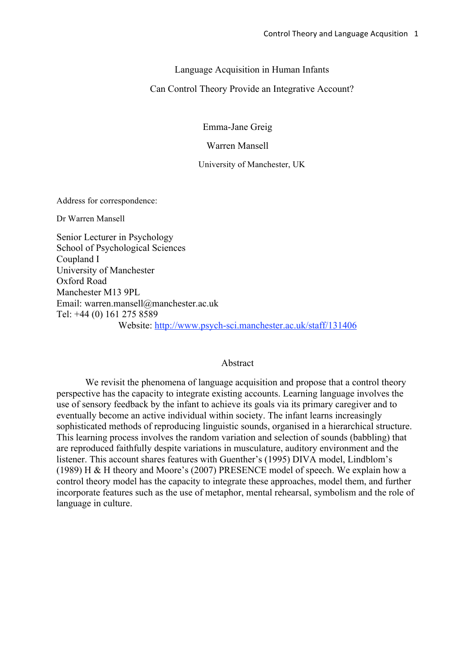Language Acquisition in Human Infants

Can Control Theory Provide an Integrative Account?

Emma-Jane Greig

Warren Mansell

University of Manchester, UK

Address for correspondence:

Dr Warren Mansell

Senior Lecturer in Psychology School of Psychological Sciences Coupland I University of Manchester Oxford Road Manchester M13 9PL Email: warren.mansell@manchester.ac.uk Tel: +44 (0) 161 275 8589 Website: http://www.psych-sci.manchester.ac.uk/staff/131406

## Abstract

We revisit the phenomena of language acquisition and propose that a control theory perspective has the capacity to integrate existing accounts. Learning language involves the use of sensory feedback by the infant to achieve its goals via its primary caregiver and to eventually become an active individual within society. The infant learns increasingly sophisticated methods of reproducing linguistic sounds, organised in a hierarchical structure. This learning process involves the random variation and selection of sounds (babbling) that are reproduced faithfully despite variations in musculature, auditory environment and the listener. This account shares features with Guenther's (1995) DIVA model, Lindblom's (1989) H & H theory and Moore's (2007) PRESENCE model of speech. We explain how a control theory model has the capacity to integrate these approaches, model them, and further incorporate features such as the use of metaphor, mental rehearsal, symbolism and the role of language in culture.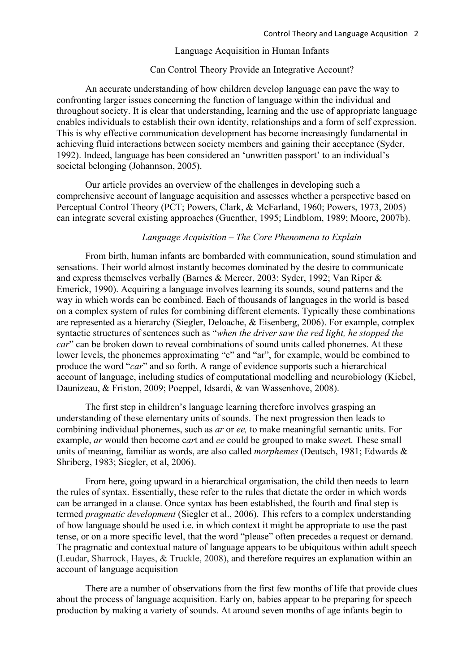### Language Acquisition in Human Infants

### Can Control Theory Provide an Integrative Account?

An accurate understanding of how children develop language can pave the way to confronting larger issues concerning the function of language within the individual and throughout society. It is clear that understanding, learning and the use of appropriate language enables individuals to establish their own identity, relationships and a form of self expression. This is why effective communication development has become increasingly fundamental in achieving fluid interactions between society members and gaining their acceptance (Syder, 1992). Indeed, language has been considered an 'unwritten passport' to an individual's societal belonging (Johannson, 2005).

Our article provides an overview of the challenges in developing such a comprehensive account of language acquisition and assesses whether a perspective based on Perceptual Control Theory (PCT; Powers, Clark, & McFarland, 1960; Powers, 1973, 2005) can integrate several existing approaches (Guenther, 1995; Lindblom, 1989; Moore, 2007b).

### *Language Acquisition – The Core Phenomena to Explain*

From birth, human infants are bombarded with communication, sound stimulation and sensations. Their world almost instantly becomes dominated by the desire to communicate and express themselves verbally (Barnes & Mercer, 2003; Syder, 1992; Van Riper & Emerick, 1990). Acquiring a language involves learning its sounds, sound patterns and the way in which words can be combined. Each of thousands of languages in the world is based on a complex system of rules for combining different elements. Typically these combinations are represented as a hierarchy (Siegler, Deloache, & Eisenberg, 2006). For example, complex syntactic structures of sentences such as "*when the driver saw the red light, he stopped the car*" can be broken down to reveal combinations of sound units called phonemes. At these lower levels, the phonemes approximating "c" and "ar", for example, would be combined to produce the word "*car*" and so forth. A range of evidence supports such a hierarchical account of language, including studies of computational modelling and neurobiology (Kiebel, Daunizeau, & Friston, 2009; Poeppel, Idsardi, & van Wassenhove, 2008).

The first step in children's language learning therefore involves grasping an understanding of these elementary units of sounds. The next progression then leads to combining individual phonemes, such as *ar* or *ee,* to make meaningful semantic units. For example, *ar* would then become c*ar*t and *ee* could be grouped to make sw*ee*t. These small units of meaning, familiar as words, are also called *morphemes* (Deutsch, 1981; Edwards & Shriberg, 1983; Siegler, et al, 2006).

From here, going upward in a hierarchical organisation, the child then needs to learn the rules of syntax. Essentially, these refer to the rules that dictate the order in which words can be arranged in a clause. Once syntax has been established, the fourth and final step is termed *pragmatic development* (Siegler et al., 2006). This refers to a complex understanding of how language should be used i.e. in which context it might be appropriate to use the past tense, or on a more specific level, that the word "please" often precedes a request or demand. The pragmatic and contextual nature of language appears to be ubiquitous within adult speech (Leudar, Sharrock, Hayes, & Truckle, 2008), and therefore requires an explanation within an account of language acquisition

There are a number of observations from the first few months of life that provide clues about the process of language acquisition. Early on, babies appear to be preparing for speech production by making a variety of sounds. At around seven months of age infants begin to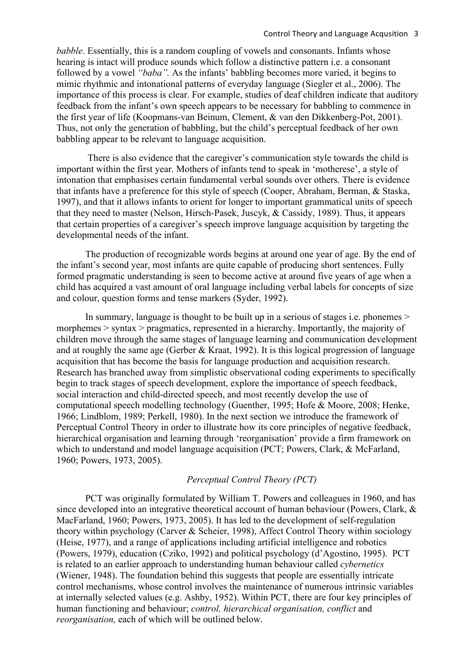*babble*. Essentially, this is a random coupling of vowels and consonants. Infants whose hearing is intact will produce sounds which follow a distinctive pattern i.e. a consonant followed by a vowel *"baba".* As the infants' babbling becomes more varied, it begins to mimic rhythmic and intonational patterns of everyday language (Siegler et al., 2006). The importance of this process is clear. For example, studies of deaf children indicate that auditory feedback from the infant's own speech appears to be necessary for babbling to commence in the first year of life (Koopmans-van Beinum, Clement, & van den Dikkenberg-Pot, 2001). Thus, not only the generation of babbling, but the child's perceptual feedback of her own babbling appear to be relevant to language acquisition.

 There is also evidence that the caregiver's communication style towards the child is important within the first year. Mothers of infants tend to speak in 'motherese', a style of intonation that emphasises certain fundamental verbal sounds over others. There is evidence that infants have a preference for this style of speech (Cooper, Abraham, Berman, & Staska, 1997), and that it allows infants to orient for longer to important grammatical units of speech that they need to master (Nelson, Hirsch-Pasek, Juscyk, & Cassidy, 1989). Thus, it appears that certain properties of a caregiver's speech improve language acquisition by targeting the developmental needs of the infant.

The production of recognizable words begins at around one year of age. By the end of the infant's second year, most infants are quite capable of producing short sentences. Fully formed pragmatic understanding is seen to become active at around five years of age when a child has acquired a vast amount of oral language including verbal labels for concepts of size and colour, question forms and tense markers (Syder, 1992).

In summary, language is thought to be built up in a serious of stages i.e. phonemes > morphemes > syntax > pragmatics, represented in a hierarchy. Importantly, the majority of children move through the same stages of language learning and communication development and at roughly the same age (Gerber & Kraat, 1992). It is this logical progression of language acquisition that has become the basis for language production and acquisition research. Research has branched away from simplistic observational coding experiments to specifically begin to track stages of speech development, explore the importance of speech feedback, social interaction and child-directed speech, and most recently develop the use of computational speech modelling technology (Guenther, 1995; Hofe & Moore, 2008; Henke, 1966; Lindblom, 1989; Perkell, 1980). In the next section we introduce the framework of Perceptual Control Theory in order to illustrate how its core principles of negative feedback, hierarchical organisation and learning through 'reorganisation' provide a firm framework on which to understand and model language acquisition (PCT; Powers, Clark, & McFarland, 1960; Powers, 1973, 2005).

## *Perceptual Control Theory (PCT)*

PCT was originally formulated by William T. Powers and colleagues in 1960, and has since developed into an integrative theoretical account of human behaviour (Powers, Clark, & MacFarland, 1960; Powers, 1973, 2005). It has led to the development of self-regulation theory within psychology (Carver & Scheier, 1998), Affect Control Theory within sociology (Heise, 1977), and a range of applications including artificial intelligence and robotics (Powers, 1979), education (Cziko, 1992) and political psychology (d'Agostino, 1995). PCT is related to an earlier approach to understanding human behaviour called *cybernetics* (Wiener, 1948). The foundation behind this suggests that people are essentially intricate control mechanisms, whose control involves the maintenance of numerous intrinsic variables at internally selected values (e.g. Ashby, 1952). Within PCT, there are four key principles of human functioning and behaviour; *control, hierarchical organisation, conflict* and *reorganisation,* each of which will be outlined below.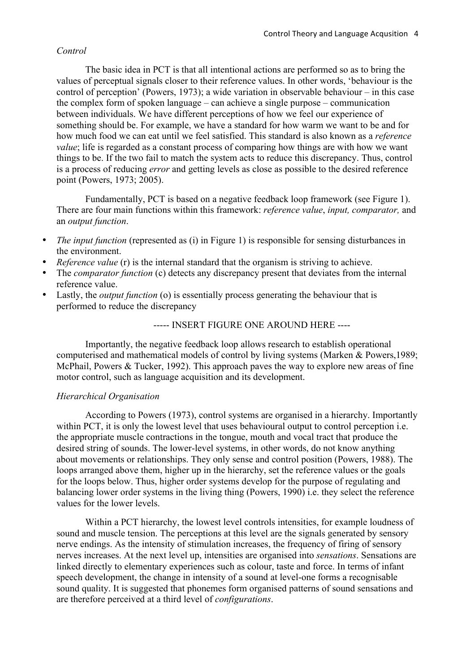## *Control*

The basic idea in PCT is that all intentional actions are performed so as to bring the values of perceptual signals closer to their reference values. In other words, 'behaviour is the control of perception' (Powers, 1973); a wide variation in observable behaviour – in this case the complex form of spoken language – can achieve a single purpose – communication between individuals. We have different perceptions of how we feel our experience of something should be. For example, we have a standard for how warm we want to be and for how much food we can eat until we feel satisfied. This standard is also known as a *reference value*; life is regarded as a constant process of comparing how things are with how we want things to be. If the two fail to match the system acts to reduce this discrepancy. Thus, control is a process of reducing *error* and getting levels as close as possible to the desired reference point (Powers, 1973; 2005).

Fundamentally, PCT is based on a negative feedback loop framework (see Figure 1). There are four main functions within this framework: *reference value*, *input, comparator,* and an *output function*.

- *The input function* (represented as (i) in Figure 1) is responsible for sensing disturbances in the environment.
- *Reference value* (r) is the internal standard that the organism is striving to achieve.
- The *comparator function* (c) detects any discrepancy present that deviates from the internal reference value.
- Lastly, the *output function* (o) is essentially process generating the behaviour that is performed to reduce the discrepancy

----- INSERT FIGURE ONE AROUND HERE ----

Importantly, the negative feedback loop allows research to establish operational computerised and mathematical models of control by living systems (Marken & Powers,1989; McPhail, Powers & Tucker, 1992). This approach paves the way to explore new areas of fine motor control, such as language acquisition and its development.

## *Hierarchical Organisation*

According to Powers (1973), control systems are organised in a hierarchy. Importantly within PCT, it is only the lowest level that uses behavioural output to control perception *i.e.* the appropriate muscle contractions in the tongue, mouth and vocal tract that produce the desired string of sounds. The lower-level systems, in other words, do not know anything about movements or relationships. They only sense and control position (Powers, 1988). The loops arranged above them, higher up in the hierarchy, set the reference values or the goals for the loops below. Thus, higher order systems develop for the purpose of regulating and balancing lower order systems in the living thing (Powers, 1990) i.e. they select the reference values for the lower levels.

Within a PCT hierarchy, the lowest level controls intensities, for example loudness of sound and muscle tension. The perceptions at this level are the signals generated by sensory nerve endings. As the intensity of stimulation increases, the frequency of firing of sensory nerves increases. At the next level up, intensities are organised into *sensations*. Sensations are linked directly to elementary experiences such as colour, taste and force. In terms of infant speech development, the change in intensity of a sound at level-one forms a recognisable sound quality. It is suggested that phonemes form organised patterns of sound sensations and are therefore perceived at a third level of *configurations*.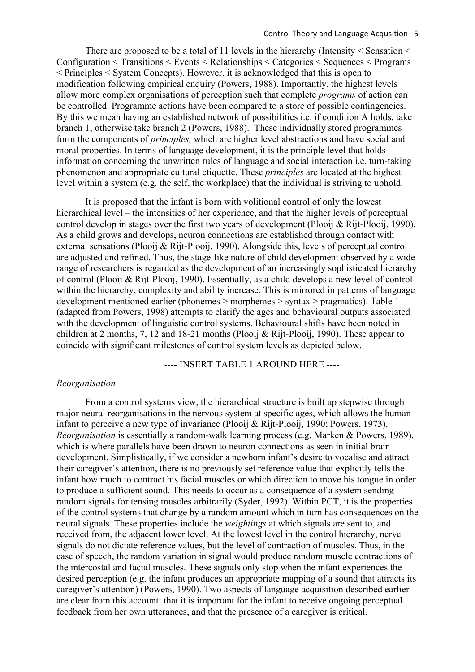There are proposed to be a total of 11 levels in the hierarchy (Intensity  $\leq$  Sensation  $\leq$ Configuration < Transitions < Events < Relationships < Categories < Sequences < Programs < Principles < System Concepts). However, it is acknowledged that this is open to modification following empirical enquiry (Powers, 1988). Importantly, the highest levels allow more complex organisations of perception such that complete *programs* of action can be controlled. Programme actions have been compared to a store of possible contingencies. By this we mean having an established network of possibilities i.e. if condition A holds, take branch 1; otherwise take branch 2 (Powers, 1988). These individually stored programmes form the components of *principles,* which are higher level abstractions and have social and moral properties. In terms of language development, it is the principle level that holds information concerning the unwritten rules of language and social interaction i.e. turn-taking phenomenon and appropriate cultural etiquette. These *principles* are located at the highest level within a system (e.g. the self, the workplace) that the individual is striving to uphold.

It is proposed that the infant is born with volitional control of only the lowest hierarchical level – the intensities of her experience, and that the higher levels of perceptual control develop in stages over the first two years of development (Plooij & Rijt-Plooij, 1990). As a child grows and develops, neuron connections are established through contact with external sensations (Plooij & Rijt-Plooij, 1990). Alongside this, levels of perceptual control are adjusted and refined. Thus, the stage-like nature of child development observed by a wide range of researchers is regarded as the development of an increasingly sophisticated hierarchy of control (Plooij & Rijt-Plooij, 1990). Essentially, as a child develops a new level of control within the hierarchy, complexity and ability increase. This is mirrored in patterns of language development mentioned earlier (phonemes > morphemes > syntax > pragmatics). Table 1 (adapted from Powers, 1998) attempts to clarify the ages and behavioural outputs associated with the development of linguistic control systems. Behavioural shifts have been noted in children at 2 months, 7, 12 and 18-21 months (Plooij & Rijt-Plooij, 1990). These appear to coincide with significant milestones of control system levels as depicted below.

---- INSERT TABLE 1 AROUND HERE ----

## *Reorganisation*

From a control systems view, the hierarchical structure is built up stepwise through major neural reorganisations in the nervous system at specific ages, which allows the human infant to perceive a new type of invariance (Plooij & Rijt-Plooij, 1990; Powers, 1973). *Reorganisation* is essentially a random-walk learning process (e.g. Marken & Powers, 1989), which is where parallels have been drawn to neuron connections as seen in initial brain development. Simplistically, if we consider a newborn infant's desire to vocalise and attract their caregiver's attention, there is no previously set reference value that explicitly tells the infant how much to contract his facial muscles or which direction to move his tongue in order to produce a sufficient sound. This needs to occur as a consequence of a system sending random signals for tensing muscles arbitrarily (Syder, 1992). Within PCT, it is the properties of the control systems that change by a random amount which in turn has consequences on the neural signals. These properties include the *weightings* at which signals are sent to, and received from, the adjacent lower level. At the lowest level in the control hierarchy, nerve signals do not dictate reference values, but the level of contraction of muscles. Thus, in the case of speech, the random variation in signal would produce random muscle contractions of the intercostal and facial muscles. These signals only stop when the infant experiences the desired perception (e.g. the infant produces an appropriate mapping of a sound that attracts its caregiver's attention) (Powers, 1990). Two aspects of language acquisition described earlier are clear from this account: that it is important for the infant to receive ongoing perceptual feedback from her own utterances, and that the presence of a caregiver is critical.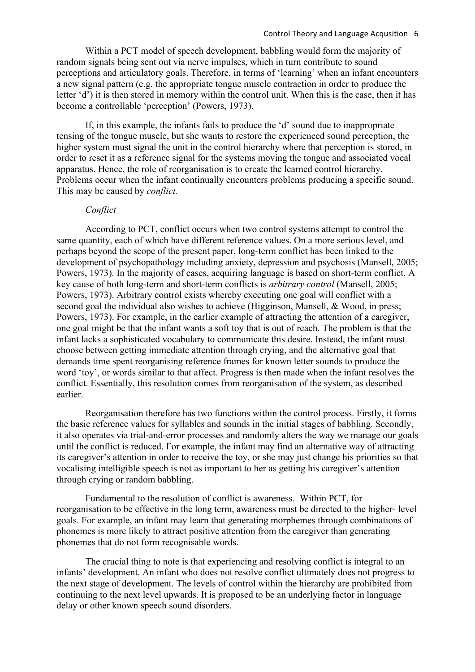Within a PCT model of speech development, babbling would form the majority of random signals being sent out via nerve impulses, which in turn contribute to sound perceptions and articulatory goals. Therefore, in terms of 'learning' when an infant encounters a new signal pattern (e.g. the appropriate tongue muscle contraction in order to produce the letter 'd') it is then stored in memory within the control unit. When this is the case, then it has become a controllable 'perception' (Powers, 1973).

If, in this example, the infants fails to produce the 'd' sound due to inappropriate tensing of the tongue muscle, but she wants to restore the experienced sound perception, the higher system must signal the unit in the control hierarchy where that perception is stored, in order to reset it as a reference signal for the systems moving the tongue and associated vocal apparatus. Hence, the role of reorganisation is to create the learned control hierarchy. Problems occur when the infant continually encounters problems producing a specific sound. This may be caused by *conflict.* 

### *Conflict*

According to PCT, conflict occurs when two control systems attempt to control the same quantity, each of which have different reference values. On a more serious level, and perhaps beyond the scope of the present paper, long-term conflict has been linked to the development of psychopathology including anxiety, depression and psychosis (Mansell, 2005; Powers, 1973). In the majority of cases, acquiring language is based on short-term conflict. A key cause of both long-term and short-term conflicts is *arbitrary control* (Mansell, 2005; Powers, 1973). Arbitrary control exists whereby executing one goal will conflict with a second goal the individual also wishes to achieve (Higginson, Mansell, & Wood, in press; Powers, 1973). For example, in the earlier example of attracting the attention of a caregiver, one goal might be that the infant wants a soft toy that is out of reach. The problem is that the infant lacks a sophisticated vocabulary to communicate this desire. Instead, the infant must choose between getting immediate attention through crying, and the alternative goal that demands time spent reorganising reference frames for known letter sounds to produce the word 'toy', or words similar to that affect. Progress is then made when the infant resolves the conflict. Essentially, this resolution comes from reorganisation of the system, as described earlier.

Reorganisation therefore has two functions within the control process. Firstly, it forms the basic reference values for syllables and sounds in the initial stages of babbling. Secondly, it also operates via trial-and-error processes and randomly alters the way we manage our goals until the conflict is reduced. For example, the infant may find an alternative way of attracting its caregiver's attention in order to receive the toy, or she may just change his priorities so that vocalising intelligible speech is not as important to her as getting his caregiver's attention through crying or random babbling.

Fundamental to the resolution of conflict is awareness. Within PCT, for reorganisation to be effective in the long term, awareness must be directed to the higher- level goals. For example, an infant may learn that generating morphemes through combinations of phonemes is more likely to attract positive attention from the caregiver than generating phonemes that do not form recognisable words.

The crucial thing to note is that experiencing and resolving conflict is integral to an infants' development. An infant who does not resolve conflict ultimately does not progress to the next stage of development. The levels of control within the hierarchy are prohibited from continuing to the next level upwards. It is proposed to be an underlying factor in language delay or other known speech sound disorders.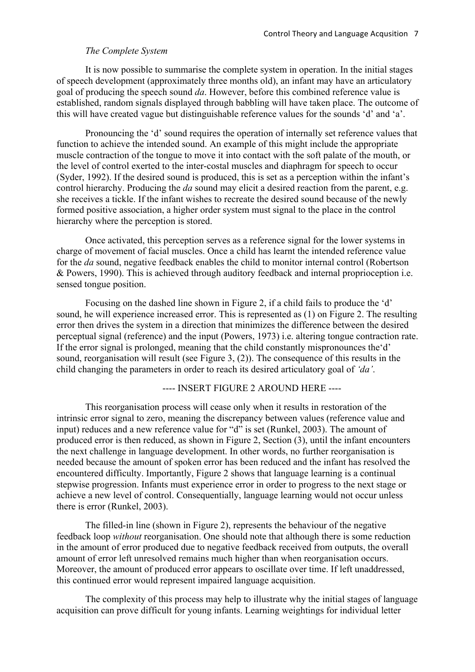# *The Complete System*

It is now possible to summarise the complete system in operation. In the initial stages of speech development (approximately three months old), an infant may have an articulatory goal of producing the speech sound *da*. However, before this combined reference value is established, random signals displayed through babbling will have taken place. The outcome of this will have created vague but distinguishable reference values for the sounds 'd' and 'a'.

Pronouncing the 'd' sound requires the operation of internally set reference values that function to achieve the intended sound. An example of this might include the appropriate muscle contraction of the tongue to move it into contact with the soft palate of the mouth, or the level of control exerted to the inter-costal muscles and diaphragm for speech to occur (Syder, 1992). If the desired sound is produced, this is set as a perception within the infant's control hierarchy. Producing the *da* sound may elicit a desired reaction from the parent, e.g. she receives a tickle. If the infant wishes to recreate the desired sound because of the newly formed positive association, a higher order system must signal to the place in the control hierarchy where the perception is stored.

Once activated, this perception serves as a reference signal for the lower systems in charge of movement of facial muscles. Once a child has learnt the intended reference value for the *da* sound, negative feedback enables the child to monitor internal control (Robertson & Powers, 1990). This is achieved through auditory feedback and internal proprioception i.e. sensed tongue position.

Focusing on the dashed line shown in Figure 2, if a child fails to produce the 'd' sound, he will experience increased error. This is represented as (1) on Figure 2. The resulting error then drives the system in a direction that minimizes the difference between the desired perceptual signal (reference) and the input (Powers, 1973) i.e. altering tongue contraction rate. If the error signal is prolonged, meaning that the child constantly mispronounces the'd' sound, reorganisation will result (see Figure 3, (2)). The consequence of this results in the child changing the parameters in order to reach its desired articulatory goal of *'da'*.

---- INSERT FIGURE 2 AROUND HERE ----

This reorganisation process will cease only when it results in restoration of the intrinsic error signal to zero, meaning the discrepancy between values (reference value and input) reduces and a new reference value for "d" is set (Runkel, 2003). The amount of produced error is then reduced, as shown in Figure 2, Section (3), until the infant encounters the next challenge in language development. In other words, no further reorganisation is needed because the amount of spoken error has been reduced and the infant has resolved the encountered difficulty. Importantly, Figure 2 shows that language learning is a continual stepwise progression. Infants must experience error in order to progress to the next stage or achieve a new level of control. Consequentially, language learning would not occur unless there is error (Runkel, 2003).

The filled-in line (shown in Figure 2), represents the behaviour of the negative feedback loop *without* reorganisation. One should note that although there is some reduction in the amount of error produced due to negative feedback received from outputs, the overall amount of error left unresolved remains much higher than when reorganisation occurs. Moreover, the amount of produced error appears to oscillate over time. If left unaddressed, this continued error would represent impaired language acquisition.

The complexity of this process may help to illustrate why the initial stages of language acquisition can prove difficult for young infants. Learning weightings for individual letter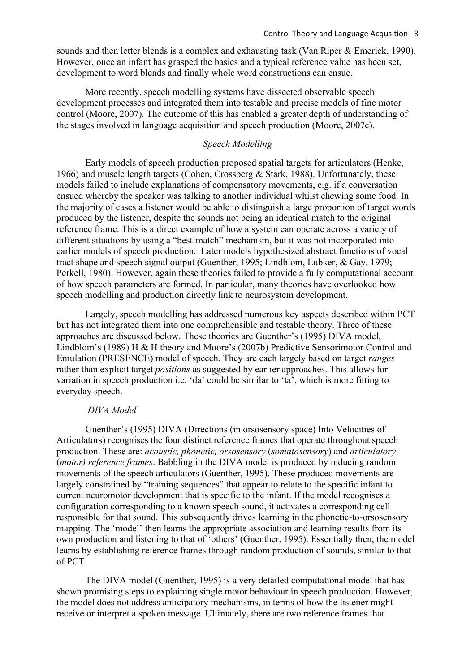sounds and then letter blends is a complex and exhausting task (Van Riper & Emerick, 1990). However, once an infant has grasped the basics and a typical reference value has been set, development to word blends and finally whole word constructions can ensue.

More recently, speech modelling systems have dissected observable speech development processes and integrated them into testable and precise models of fine motor control (Moore, 2007). The outcome of this has enabled a greater depth of understanding of the stages involved in language acquisition and speech production (Moore, 2007c).

# *Speech Modelling*

Early models of speech production proposed spatial targets for articulators (Henke, 1966) and muscle length targets (Cohen, Crossberg & Stark, 1988). Unfortunately, these models failed to include explanations of compensatory movements, e.g. if a conversation ensued whereby the speaker was talking to another individual whilst chewing some food. In the majority of cases a listener would be able to distinguish a large proportion of target words produced by the listener, despite the sounds not being an identical match to the original reference frame. This is a direct example of how a system can operate across a variety of different situations by using a "best-match" mechanism, but it was not incorporated into earlier models of speech production. Later models hypothesized abstract functions of vocal tract shape and speech signal output (Guenther, 1995; Lindblom, Lubker, & Gay, 1979; Perkell, 1980). However, again these theories failed to provide a fully computational account of how speech parameters are formed. In particular, many theories have overlooked how speech modelling and production directly link to neurosystem development.

Largely, speech modelling has addressed numerous key aspects described within PCT but has not integrated them into one comprehensible and testable theory. Three of these approaches are discussed below. These theories are Guenther's (1995) DIVA model, Lindblom's (1989) H & H theory and Moore's (2007b) Predictive Sensorimotor Control and Emulation (PRESENCE) model of speech. They are each largely based on target *ranges* rather than explicit target *positions* as suggested by earlier approaches. This allows for variation in speech production i.e. 'da' could be similar to 'ta', which is more fitting to everyday speech.

#### *DIVA Model*

Guenther's (1995) DIVA (Directions (in orsosensory space) Into Velocities of Articulators) recognises the four distinct reference frames that operate throughout speech production. These are: *acoustic, phonetic, orsosensory* (*somatosensory*) and *articulatory* (*motor) reference frames*. Babbling in the DIVA model is produced by inducing random movements of the speech articulators (Guenther, 1995). These produced movements are largely constrained by "training sequences" that appear to relate to the specific infant to current neuromotor development that is specific to the infant. If the model recognises a configuration corresponding to a known speech sound, it activates a corresponding cell responsible for that sound. This subsequently drives learning in the phonetic-to-orsosensory mapping. The 'model' then learns the appropriate association and learning results from its own production and listening to that of 'others' (Guenther, 1995). Essentially then, the model learns by establishing reference frames through random production of sounds, similar to that of PCT.

The DIVA model (Guenther, 1995) is a very detailed computational model that has shown promising steps to explaining single motor behaviour in speech production. However, the model does not address anticipatory mechanisms, in terms of how the listener might receive or interpret a spoken message. Ultimately, there are two reference frames that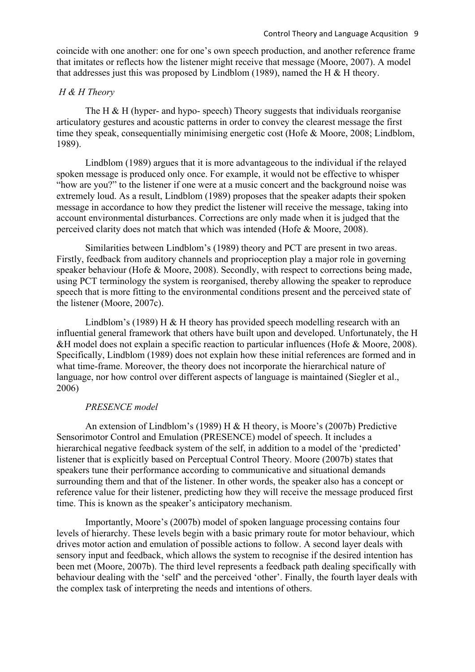coincide with one another: one for one's own speech production, and another reference frame that imitates or reflects how the listener might receive that message (Moore, 2007). A model that addresses just this was proposed by Lindblom (1989), named the H  $&$  H theory.

## *H & H Theory*

The H  $\&$  H (hyper- and hypo- speech) Theory suggests that individuals reorganise articulatory gestures and acoustic patterns in order to convey the clearest message the first time they speak, consequentially minimising energetic cost (Hofe & Moore, 2008; Lindblom, 1989).

Lindblom (1989) argues that it is more advantageous to the individual if the relayed spoken message is produced only once. For example, it would not be effective to whisper "how are you?" to the listener if one were at a music concert and the background noise was extremely loud. As a result, Lindblom (1989) proposes that the speaker adapts their spoken message in accordance to how they predict the listener will receive the message, taking into account environmental disturbances. Corrections are only made when it is judged that the perceived clarity does not match that which was intended (Hofe & Moore, 2008).

Similarities between Lindblom's (1989) theory and PCT are present in two areas. Firstly, feedback from auditory channels and proprioception play a major role in governing speaker behaviour (Hofe & Moore, 2008). Secondly, with respect to corrections being made, using PCT terminology the system is reorganised, thereby allowing the speaker to reproduce speech that is more fitting to the environmental conditions present and the perceived state of the listener (Moore, 2007c).

Lindblom's (1989) H & H theory has provided speech modelling research with an influential general framework that others have built upon and developed. Unfortunately, the H &H model does not explain a specific reaction to particular influences (Hofe & Moore, 2008). Specifically, Lindblom (1989) does not explain how these initial references are formed and in what time-frame. Moreover, the theory does not incorporate the hierarchical nature of language, nor how control over different aspects of language is maintained (Siegler et al., 2006)

## *PRESENCE model*

An extension of Lindblom's (1989) H & H theory, is Moore's (2007b) Predictive Sensorimotor Control and Emulation (PRESENCE) model of speech. It includes a hierarchical negative feedback system of the self, in addition to a model of the 'predicted' listener that is explicitly based on Perceptual Control Theory. Moore (2007b) states that speakers tune their performance according to communicative and situational demands surrounding them and that of the listener. In other words, the speaker also has a concept or reference value for their listener, predicting how they will receive the message produced first time. This is known as the speaker's anticipatory mechanism.

Importantly, Moore's (2007b) model of spoken language processing contains four levels of hierarchy. These levels begin with a basic primary route for motor behaviour, which drives motor action and emulation of possible actions to follow. A second layer deals with sensory input and feedback, which allows the system to recognise if the desired intention has been met (Moore, 2007b). The third level represents a feedback path dealing specifically with behaviour dealing with the 'self' and the perceived 'other'. Finally, the fourth layer deals with the complex task of interpreting the needs and intentions of others.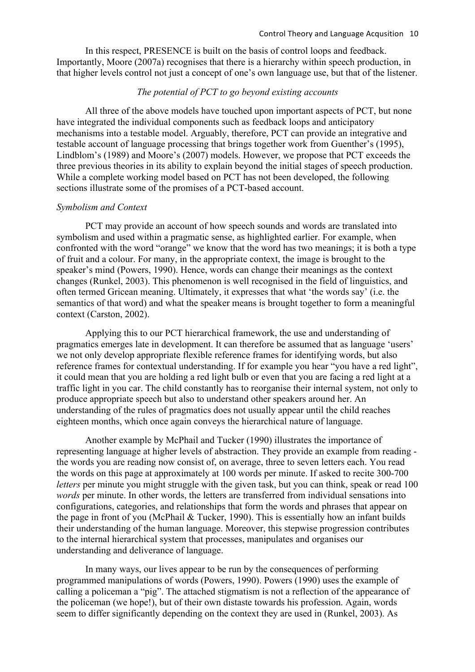In this respect, PRESENCE is built on the basis of control loops and feedback. Importantly, Moore (2007a) recognises that there is a hierarchy within speech production, in that higher levels control not just a concept of one's own language use, but that of the listener.

# *The potential of PCT to go beyond existing accounts*

All three of the above models have touched upon important aspects of PCT, but none have integrated the individual components such as feedback loops and anticipatory mechanisms into a testable model. Arguably, therefore, PCT can provide an integrative and testable account of language processing that brings together work from Guenther's (1995), Lindblom's (1989) and Moore's (2007) models. However, we propose that PCT exceeds the three previous theories in its ability to explain beyond the initial stages of speech production. While a complete working model based on PCT has not been developed, the following sections illustrate some of the promises of a PCT-based account.

### *Symbolism and Context*

PCT may provide an account of how speech sounds and words are translated into symbolism and used within a pragmatic sense, as highlighted earlier. For example, when confronted with the word "orange" we know that the word has two meanings; it is both a type of fruit and a colour. For many, in the appropriate context, the image is brought to the speaker's mind (Powers, 1990). Hence, words can change their meanings as the context changes (Runkel, 2003). This phenomenon is well recognised in the field of linguistics, and often termed Gricean meaning. Ultimately, it expresses that what 'the words say' (i.e. the semantics of that word) and what the speaker means is brought together to form a meaningful context (Carston, 2002).

Applying this to our PCT hierarchical framework, the use and understanding of pragmatics emerges late in development. It can therefore be assumed that as language 'users' we not only develop appropriate flexible reference frames for identifying words, but also reference frames for contextual understanding. If for example you hear "you have a red light", it could mean that you are holding a red light bulb or even that you are facing a red light at a traffic light in you car. The child constantly has to reorganise their internal system, not only to produce appropriate speech but also to understand other speakers around her. An understanding of the rules of pragmatics does not usually appear until the child reaches eighteen months, which once again conveys the hierarchical nature of language.

Another example by McPhail and Tucker (1990) illustrates the importance of representing language at higher levels of abstraction. They provide an example from reading the words you are reading now consist of, on average, three to seven letters each. You read the words on this page at approximately at 100 words per minute. If asked to recite 300-700 *letters* per minute you might struggle with the given task, but you can think, speak or read 100 *words* per minute. In other words, the letters are transferred from individual sensations into configurations, categories, and relationships that form the words and phrases that appear on the page in front of you (McPhail & Tucker, 1990). This is essentially how an infant builds their understanding of the human language. Moreover, this stepwise progression contributes to the internal hierarchical system that processes, manipulates and organises our understanding and deliverance of language.

In many ways, our lives appear to be run by the consequences of performing programmed manipulations of words (Powers, 1990). Powers (1990) uses the example of calling a policeman a "pig". The attached stigmatism is not a reflection of the appearance of the policeman (we hope!), but of their own distaste towards his profession. Again, words seem to differ significantly depending on the context they are used in (Runkel, 2003). As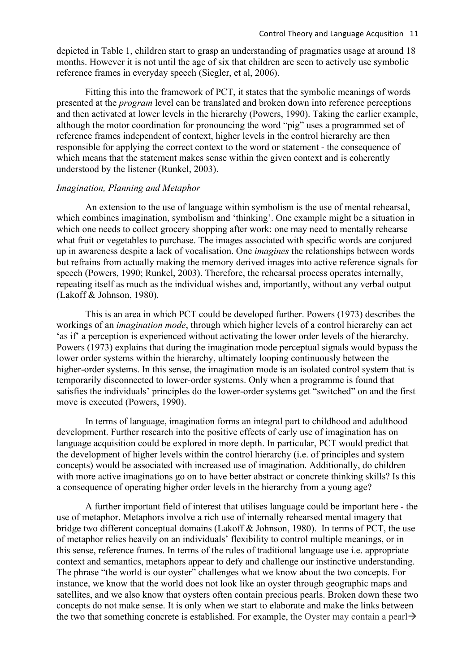depicted in Table 1, children start to grasp an understanding of pragmatics usage at around 18 months. However it is not until the age of six that children are seen to actively use symbolic reference frames in everyday speech (Siegler, et al, 2006).

Fitting this into the framework of PCT, it states that the symbolic meanings of words presented at the *program* level can be translated and broken down into reference perceptions and then activated at lower levels in the hierarchy (Powers, 1990). Taking the earlier example, although the motor coordination for pronouncing the word "pig" uses a programmed set of reference frames independent of context, higher levels in the control hierarchy are then responsible for applying the correct context to the word or statement - the consequence of which means that the statement makes sense within the given context and is coherently understood by the listener (Runkel, 2003).

#### *Imagination, Planning and Metaphor*

An extension to the use of language within symbolism is the use of mental rehearsal, which combines imagination, symbolism and 'thinking'. One example might be a situation in which one needs to collect grocery shopping after work: one may need to mentally rehearse what fruit or vegetables to purchase. The images associated with specific words are conjured up in awareness despite a lack of vocalisation. One *imagines* the relationships between words but refrains from actually making the memory derived images into active reference signals for speech (Powers, 1990; Runkel, 2003). Therefore, the rehearsal process operates internally, repeating itself as much as the individual wishes and, importantly, without any verbal output (Lakoff & Johnson, 1980).

This is an area in which PCT could be developed further. Powers (1973) describes the workings of an *imagination mode*, through which higher levels of a control hierarchy can act 'as if' a perception is experienced without activating the lower order levels of the hierarchy. Powers (1973) explains that during the imagination mode perceptual signals would bypass the lower order systems within the hierarchy, ultimately looping continuously between the higher-order systems. In this sense, the imagination mode is an isolated control system that is temporarily disconnected to lower-order systems. Only when a programme is found that satisfies the individuals' principles do the lower-order systems get "switched" on and the first move is executed (Powers, 1990).

In terms of language, imagination forms an integral part to childhood and adulthood development. Further research into the positive effects of early use of imagination has on language acquisition could be explored in more depth. In particular, PCT would predict that the development of higher levels within the control hierarchy (i.e. of principles and system concepts) would be associated with increased use of imagination. Additionally, do children with more active imaginations go on to have better abstract or concrete thinking skills? Is this a consequence of operating higher order levels in the hierarchy from a young age?

A further important field of interest that utilises language could be important here - the use of metaphor. Metaphors involve a rich use of internally rehearsed mental imagery that bridge two different conceptual domains (Lakoff & Johnson, 1980). In terms of PCT, the use of metaphor relies heavily on an individuals' flexibility to control multiple meanings, or in this sense, reference frames. In terms of the rules of traditional language use i.e. appropriate context and semantics, metaphors appear to defy and challenge our instinctive understanding. The phrase "the world is our oyster" challenges what we know about the two concepts. For instance, we know that the world does not look like an oyster through geographic maps and satellites, and we also know that oysters often contain precious pearls. Broken down these two concepts do not make sense. It is only when we start to elaborate and make the links between the two that something concrete is established. For example, the Oyster may contain a pearl  $\rightarrow$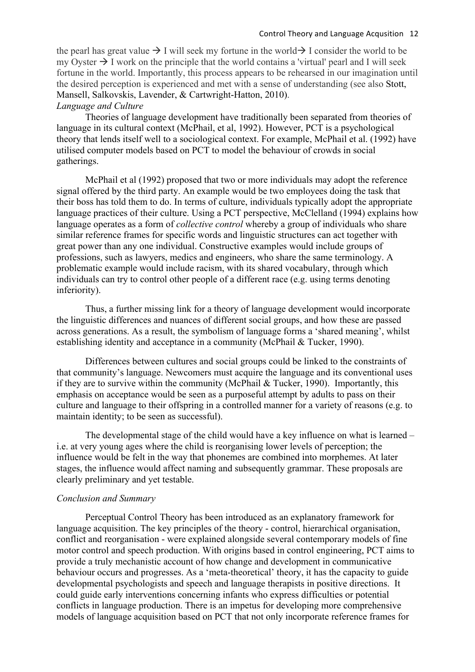the pearl has great value  $\rightarrow$  I will seek my fortune in the world  $\rightarrow$  I consider the world to be my Oyster  $\rightarrow$  I work on the principle that the world contains a 'virtual' pearl and I will seek fortune in the world. Importantly, this process appears to be rehearsed in our imagination until the desired perception is experienced and met with a sense of understanding (see also Stott, Mansell, Salkovskis, Lavender, & Cartwright-Hatton, 2010). *Language and Culture*

Theories of language development have traditionally been separated from theories of language in its cultural context (McPhail, et al, 1992). However, PCT is a psychological theory that lends itself well to a sociological context. For example, McPhail et al. (1992) have utilised computer models based on PCT to model the behaviour of crowds in social gatherings.

McPhail et al (1992) proposed that two or more individuals may adopt the reference signal offered by the third party. An example would be two employees doing the task that their boss has told them to do. In terms of culture, individuals typically adopt the appropriate language practices of their culture. Using a PCT perspective, McClelland (1994) explains how language operates as a form of *collective control* whereby a group of individuals who share similar reference frames for specific words and linguistic structures can act together with great power than any one individual. Constructive examples would include groups of professions, such as lawyers, medics and engineers, who share the same terminology. A problematic example would include racism, with its shared vocabulary, through which individuals can try to control other people of a different race (e.g. using terms denoting inferiority).

Thus, a further missing link for a theory of language development would incorporate the linguistic differences and nuances of different social groups, and how these are passed across generations. As a result, the symbolism of language forms a 'shared meaning', whilst establishing identity and acceptance in a community (McPhail & Tucker, 1990).

Differences between cultures and social groups could be linked to the constraints of that community's language. Newcomers must acquire the language and its conventional uses if they are to survive within the community (McPhail  $&$  Tucker, 1990). Importantly, this emphasis on acceptance would be seen as a purposeful attempt by adults to pass on their culture and language to their offspring in a controlled manner for a variety of reasons (e.g. to maintain identity; to be seen as successful).

The developmental stage of the child would have a key influence on what is learned – i.e. at very young ages where the child is reorganising lower levels of perception; the influence would be felt in the way that phonemes are combined into morphemes. At later stages, the influence would affect naming and subsequently grammar. These proposals are clearly preliminary and yet testable.

#### *Conclusion and Summary*

Perceptual Control Theory has been introduced as an explanatory framework for language acquisition. The key principles of the theory - control, hierarchical organisation, conflict and reorganisation - were explained alongside several contemporary models of fine motor control and speech production. With origins based in control engineering, PCT aims to provide a truly mechanistic account of how change and development in communicative behaviour occurs and progresses. As a 'meta-theoretical' theory, it has the capacity to guide developmental psychologists and speech and language therapists in positive directions. It could guide early interventions concerning infants who express difficulties or potential conflicts in language production. There is an impetus for developing more comprehensive models of language acquisition based on PCT that not only incorporate reference frames for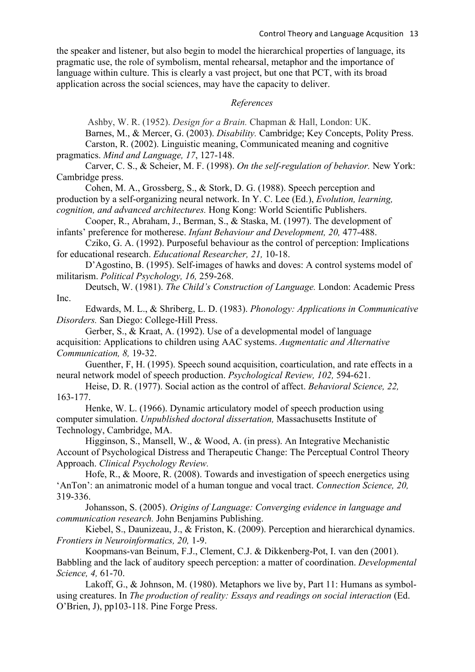the speaker and listener, but also begin to model the hierarchical properties of language, its pragmatic use, the role of symbolism, mental rehearsal, metaphor and the importance of language within culture. This is clearly a vast project, but one that PCT, with its broad application across the social sciences, may have the capacity to deliver.

### *References*

Ashby, W. R. (1952). *Design for a Brain.* Chapman & Hall, London: UK.

Barnes, M., & Mercer, G. (2003). *Disability.* Cambridge; Key Concepts, Polity Press.

Carston, R. (2002). Linguistic meaning, Communicated meaning and cognitive pragmatics. *Mind and Language, 17*, 127-148.

Carver, C. S., & Scheier, M. F. (1998). *On the self-regulation of behavior.* New York: Cambridge press.

Cohen, M. A., Grossberg, S., & Stork, D. G. (1988). Speech perception and production by a self-organizing neural network. In Y. C. Lee (Ed.), *Evolution, learning, cognition, and advanced architectures.* Hong Kong: World Scientific Publishers.

Cooper, R., Abraham, J., Berman, S., & Staska, M. (1997). The development of infants' preference for motherese. *Infant Behaviour and Development, 20,* 477-488.

Cziko, G. A. (1992). Purposeful behaviour as the control of perception: Implications for educational research. *Educational Researcher, 21,* 10-18.

D'Agostino, B. (1995). Self-images of hawks and doves: A control systems model of militarism. *Political Psychology, 16,* 259-268.

Deutsch, W. (1981). *The Child's Construction of Language.* London: Academic Press Inc.

Edwards, M. L., & Shriberg, L. D. (1983). *Phonology: Applications in Communicative Disorders.* San Diego: College-Hill Press.

Gerber, S., & Kraat, A. (1992). Use of a developmental model of language acquisition: Applications to children using AAC systems. *Augmentatic and Alternative Communication, 8,* 19-32.

Guenther, F, H. (1995). Speech sound acquisition, coarticulation, and rate effects in a neural network model of speech production. *Psychological Review, 102,* 594-621.

Heise, D. R. (1977). Social action as the control of affect. *Behavioral Science, 22,* 163-177.

Henke, W. L. (1966). Dynamic articulatory model of speech production using computer simulation. *Unpublished doctoral dissertation,* Massachusetts Institute of Technology, Cambridge, MA.

Higginson, S., Mansell, W., & Wood, A. (in press). An Integrative Mechanistic Account of Psychological Distress and Therapeutic Change: The Perceptual Control Theory Approach. *Clinical Psychology Review.* 

Hofe, R., & Moore, R. (2008). Towards and investigation of speech energetics using 'AnTon': an animatronic model of a human tongue and vocal tract. *Connection Science, 20,* 319-336.

Johansson, S. (2005). *Origins of Language: Converging evidence in language and communication research.* John Benjamins Publishing.

Kiebel, S., Daunizeau, J., & Friston, K. (2009). Perception and hierarchical dynamics. *Frontiers in Neuroinformatics, 20,* 1-9.

Koopmans-van Beinum, F.J., Clement, C.J. & Dikkenberg-Pot, I. van den (2001). Babbling and the lack of auditory speech perception: a matter of coordination. *Developmental Science, 4,* 61-70.

Lakoff, G., & Johnson, M. (1980). Metaphors we live by, Part 11: Humans as symbolusing creatures. In *The production of reality: Essays and readings on social interaction* (Ed. O'Brien, J), pp103-118. Pine Forge Press.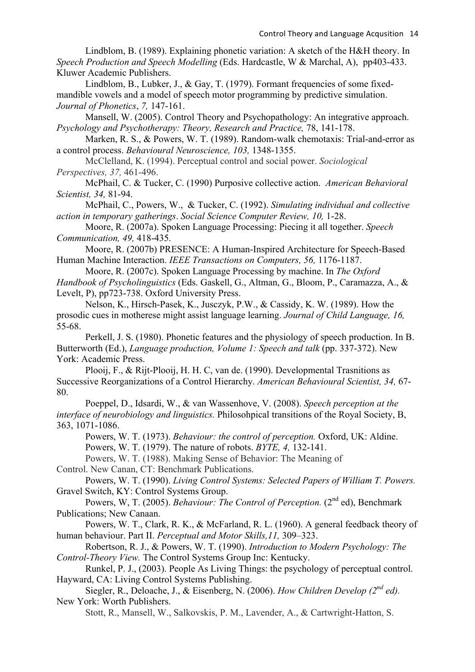Lindblom, B. (1989). Explaining phonetic variation: A sketch of the H&H theory. In *Speech Production and Speech Modelling* (Eds. Hardcastle, W & Marchal, A), pp403-433. Kluwer Academic Publishers.

Lindblom, B., Lubker, J., & Gay, T. (1979). Formant frequencies of some fixedmandible vowels and a model of speech motor programming by predictive simulation. *Journal of Phonetics*, *7,* 147-161.

Mansell, W. (2005). Control Theory and Psychopathology: An integrative approach. *Psychology and Psychotherapy: Theory, Research and Practice, 78, 141-178.* 

Marken, R. S., & Powers, W. T. (1989). Random-walk chemotaxis: Trial-and-error as a control process. *Behavioural Neuroscience, 103,* 1348-1355.

McClelland, K. (1994). Perceptual control and social power. *Sociological Perspectives, 37,* 461-496.

McPhail, C. & Tucker, C. (1990) Purposive collective action. *American Behavioral Scientist, 34,* 81-94.

McPhail, C., Powers, W., & Tucker, C. (1992). *Simulating individual and collective action in temporary gatherings*. *Social Science Computer Review, 10,* 1-28.

Moore, R. (2007a). Spoken Language Processing: Piecing it all together. *Speech Communication, 49,* 418-435.

Moore, R. (2007b) PRESENCE: A Human-Inspired Architecture for Speech-Based Human Machine Interaction. *IEEE Transactions on Computers, 56,* 1176-1187.

Moore, R. (2007c). Spoken Language Processing by machine. In *The Oxford Handbook of Psycholinguistics* (Eds. Gaskell, G., Altman, G., Bloom, P., Caramazza, A., & Levelt, P), pp723-738. Oxford University Press.

Nelson, K., Hirsch-Pasek, K., Jusczyk, P.W., & Cassidy, K. W. (1989). How the prosodic cues in motherese might assist language learning. *Journal of Child Language, 16,* 55-68.

Perkell, J. S. (1980). Phonetic features and the physiology of speech production. In B. Butterworth (Ed.), *Language production, Volume 1: Speech and talk* (pp. 337-372). New York: Academic Press.

Plooij, F., & Rijt-Plooij, H. H. C, van de. (1990). Developmental Trasnitions as Successive Reorganizations of a Control Hierarchy. *American Behavioural Scientist, 34,* 67- 80.

Poeppel, D., Idsardi, W., & van Wassenhove, V. (2008). *Speech perception at the interface of neurobiology and linguistics.* Philosohpical transitions of the Royal Society, B, 363, 1071-1086.

Powers, W. T. (1973). *Behaviour: the control of perception.* Oxford, UK: Aldine.

Powers, W. T. (1979). The nature of robots. *BYTE, 4,* 132-141.

Powers, W. T. (1988). Making Sense of Behavior: The Meaning of

Control. New Canan, CT: Benchmark Publications.

Powers, W. T. (1990). *Living Control Systems: Selected Papers of William T. Powers.*  Gravel Switch, KY: Control Systems Group.

Powers, W, T. (2005). *Behaviour: The Control of Perception.* (2<sup>nd</sup> ed), Benchmark Publications; New Canaan.

Powers, W. T., Clark, R. K., & McFarland, R. L. (1960). A general feedback theory of human behaviour. Part II. *Perceptual and Motor Skills,11,* 309–323.

Robertson, R. J., & Powers, W. T. (1990). *Introduction to Modern Psychology: The Control-Theory View.* The Control Systems Group Inc: Kentucky.

Runkel, P. J., (2003). People As Living Things: the psychology of perceptual control. Hayward, CA: Living Control Systems Publishing.

Siegler, R., Deloache, J., & Eisenberg, N. (2006). *How Children Develop (2<sup>nd</sup> ed)*. New York: Worth Publishers.

Stott, R., Mansell, W., Salkovskis, P. M., Lavender, A., & Cartwright-Hatton, S.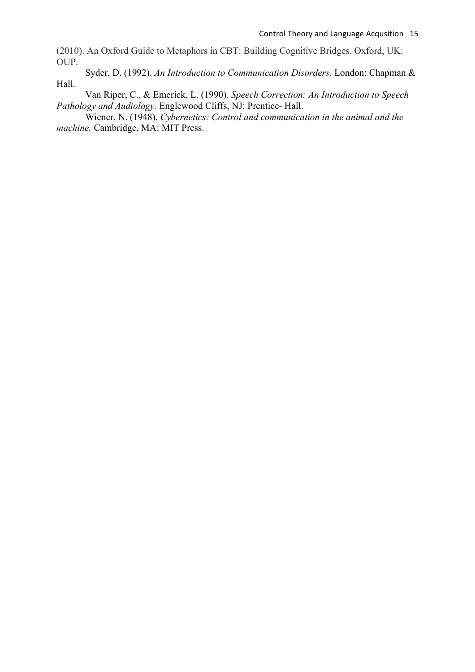(2010). An Oxford Guide to Metaphors in CBT: Building Cognitive Bridges. Oxford, UK: OUP.

Syder, D. (1992). *An Introduction to Communication Disorders.* London: Chapman & Hall.

Van Riper, C., & Emerick, L. (1990). *Speech Correction: An Introduction to Speech Pathology and Audiology.* Englewood Cliffs, NJ: Prentice- Hall.

Wiener, N. (1948). *Cybernetics: Control and communication in the animal and the machine.* Cambridge, MA: MIT Press.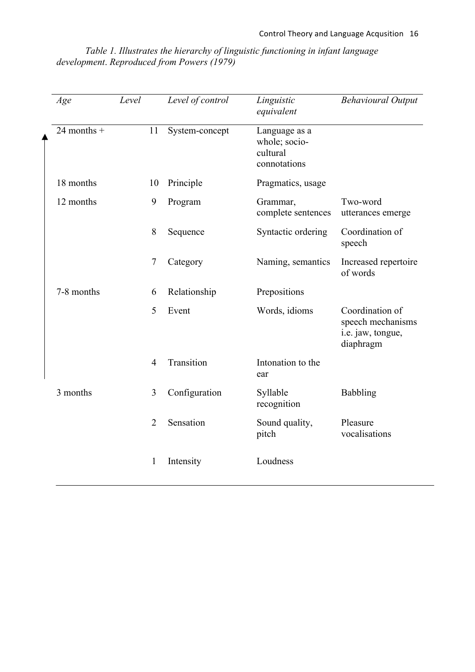*Table 1. Illustrates the hierarchy of linguistic functioning in infant language development*. *Reproduced from Powers (1979)*

| Age           | Level |                | Level of control | Linguistic<br>equivalent                                   | <b>Behavioural Output</b>                                              |
|---------------|-------|----------------|------------------|------------------------------------------------------------|------------------------------------------------------------------------|
| 24 months $+$ |       | 11             | System-concept   | Language as a<br>whole; socio-<br>cultural<br>connotations |                                                                        |
| 18 months     |       | 10             | Principle        | Pragmatics, usage                                          |                                                                        |
| 12 months     |       | 9              | Program          | Grammar,<br>complete sentences                             | Two-word<br>utterances emerge                                          |
|               |       | 8              | Sequence         | Syntactic ordering                                         | Coordination of<br>speech                                              |
|               |       | 7              | Category         | Naming, semantics                                          | Increased repertoire<br>of words                                       |
| 7-8 months    |       | 6              | Relationship     | Prepositions                                               |                                                                        |
|               |       | 5              | Event            | Words, idioms                                              | Coordination of<br>speech mechanisms<br>i.e. jaw, tongue,<br>diaphragm |
|               |       | 4              | Transition       | Intonation to the<br>ear                                   |                                                                        |
| 3 months      |       | 3              | Configuration    | Syllable<br>recognition                                    | <b>Babbling</b>                                                        |
|               |       | $\overline{2}$ | Sensation        | Sound quality,<br>pitch                                    | Pleasure<br>vocalisations                                              |
|               |       | 1              | Intensity        | Loudness                                                   |                                                                        |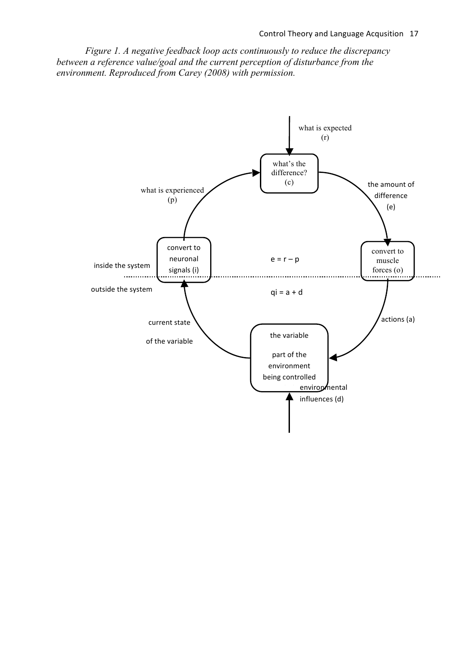*Figure 1. A negative feedback loop acts continuously to reduce the discrepancy between a reference value/goal and the current perception of disturbance from the environment. Reproduced from Carey (2008) with permission.*